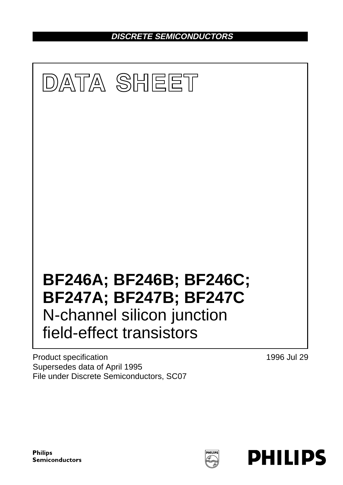**DISCRETE SEMICONDUCTORS**



Product specification Supersedes data of April 1995 File under Discrete Semiconductors, SC07 1996 Jul 29

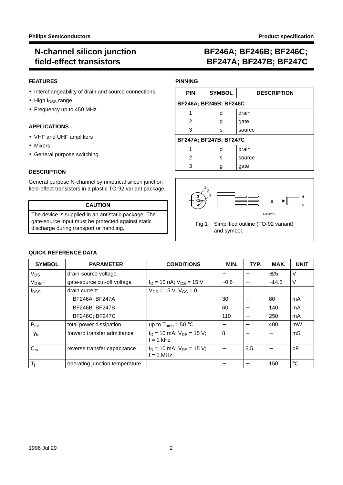### **FEATURES**

- Interchangeability of drain and source connections
- $\bullet$  High  $I_{DSS}$  range
- Frequency up to 450 MHz.

### **APPLICATIONS**

- VHF and UHF amplifiers
- Mixers
- General purpose switching.

#### **DESCRIPTION**

General purpose N-channel symmetrical silicon junction field-effect transistors in a plastic TO-92 variant package.

### **CAUTION**

The device is supplied in an antistatic package. The gate-source input must be protected against static discharge during transport or handling.

# **BF246A; BF246B; BF246C; BF247A; BF247B; BF247C**

#### **PINNING**

| <b>PIN</b> | <b>SYMBOL</b>                 | <b>DESCRIPTION</b> |
|------------|-------------------------------|--------------------|
|            | <b>BF246A: BF246B: BF246C</b> |                    |
|            | d                             | drain              |
| 2          | g                             | gate               |
| 3          | s                             | source             |
|            | <b>BF247A: BF247B: BF247C</b> |                    |
|            | d                             | drain              |
| 2          | s                             | source             |
| 3          |                               | gate               |





### **QUICK REFERENCE DATA**

| <b>SYMBOL</b>           | <b>PARAMETER</b>               | <b>CONDITIONS</b>                              | MIN.   | TYP.                     | MAX.    | <b>UNIT</b> |
|-------------------------|--------------------------------|------------------------------------------------|--------|--------------------------|---------|-------------|
| $V_{DS}$                | drain-source voltage           |                                                |        |                          | ±25     | V           |
| V <sub>GSoff</sub>      | gate-source cut-off voltage    | $I_D$ = 10 nA; $V_{DS}$ = 15 V                 | $-0.6$ |                          | $-14.5$ | $\vee$      |
| <b>l</b> <sub>DSS</sub> | drain current                  | $V_{DS}$ = 15 V; V <sub>GS</sub> = 0           |        |                          |         |             |
|                         | BF246A; BF247A                 |                                                | 30     | $\overline{\phantom{0}}$ | 80      | mA          |
|                         | BF246B; BF247B                 |                                                | 60     | $\overline{\phantom{0}}$ | 140     | mA          |
|                         | BF246C; BF247C                 |                                                | 110    | $\overline{\phantom{0}}$ | 250     | mA          |
| $P_{\text{tot}}$        | total power dissipation        | up to $T_{amb} = 50 °C$                        |        |                          | 400     | mW          |
| ly <sub>fs</sub> l      | forward transfer admittance    | $I_D$ = 10 mA; $V_{DS}$ = 15 V;<br>$f = 1$ kHz | 8      |                          |         | mS          |
| $C_{rs}$                | reverse transfer capacitance   | $I_D$ = 10 mA; $V_{DS}$ = 15 V;<br>$f = 1$ MHz |        | 3.5                      |         | pF          |
| $T_i$                   | operating junction temperature |                                                |        |                          | 150     | $^{\circ}C$ |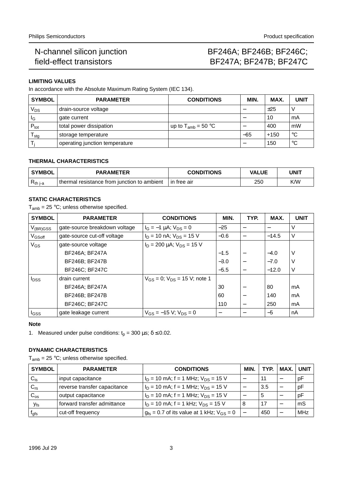# BF246A; BF246B; BF246C; BF247A; BF247B; BF247C

# **LIMITING VALUES**

In accordance with the Absolute Maximum Rating System (IEC 134).

| <b>SYMBOL</b>    | <b>PARAMETER</b>               | <b>CONDITIONS</b>       | <b>MIN</b> | MAX.   | <b>UNIT</b> |
|------------------|--------------------------------|-------------------------|------------|--------|-------------|
| $\rm V_{DS}$     | drain-source voltage           |                         |            | ±25    |             |
| ΙG               | gate current                   |                         |            | 10     | mA          |
| $P_{\text{tot}}$ | total power dissipation        | up to $T_{amb} = 50 °C$ |            | 400    | mW          |
| l <sub>Stg</sub> | storage temperature            |                         | $-65$      | $+150$ | $^{\circ}C$ |
|                  | operating junction temperature |                         |            | 150    | $^{\circ}C$ |

# **THERMAL CHARACTERISTICS**

| ' SYMBOL      | <b>PARAMETER</b>                            | <b>CONDITIONS</b> | <b>VALUE</b> | UNIT |  |
|---------------|---------------------------------------------|-------------------|--------------|------|--|
| $R_{th\ j-a}$ | thermal resistance from junction to ambient | l in free air     | 250          | K/W  |  |

# **STATIC CHARACTERISTICS**

 $T_{amb}$  = 25 °C; unless otherwise specified.

| <b>SYMBOL</b>      | <b>PARAMETER</b>              | <b>CONDITIONS</b>                      | MIN.   | TYP.                     | MAX.    | <b>UNIT</b> |
|--------------------|-------------------------------|----------------------------------------|--------|--------------------------|---------|-------------|
| $V_{(BR)GSS}$      | gate-source breakdown voltage | $I_G = -1 \mu A$ ; $V_{DS} = 0$        | $-25$  |                          |         | V           |
| V <sub>GSoff</sub> | gate-source cut-off voltage   | $I_D = 10$ nA; $V_{DS} = 15$ V         | $-0.6$ | $\overline{\phantom{0}}$ | $-14.5$ | V           |
| $V_{GS}$           | gate-source voltage           | $I_D$ = 200 µA; $V_{DS}$ = 15 V        |        |                          |         |             |
|                    | BF246A; BF247A                |                                        | $-1.5$ | —                        | $-4.0$  | V           |
|                    | BF246B; BF247B                |                                        | $-3.0$ |                          | $-7.0$  | V           |
|                    | <b>BF246C; BF247C</b>         |                                        | $-5.5$ |                          | $-12.0$ | V           |
| $I_{DSS}$          | drain current                 | $V_{GS} = 0$ ; $V_{DS} = 15$ V; note 1 |        |                          |         |             |
|                    | BF246A; BF247A                |                                        | 30     |                          | 80      | mA          |
|                    | BF246B; BF247B                |                                        | 60     |                          | 140     | mA          |
|                    | BF246C; BF247C                |                                        | 110    | $\overline{\phantom{m}}$ | 250     | mA          |
| I <sub>GSS</sub>   | gate leakage current          | $V_{GS} = -15 V$ ; $V_{DS} = 0$        |        |                          | $-5$    | nA          |

#### **Note**

1. Measured under pulse conditions:  $t<sub>p</sub> = 300 \,\mu s$ ;  $\delta \le 0.02$ .

### **DYNAMIC CHARACTERISTICS**

 $T_{amb}$  = 25 °C; unless otherwise specified.

| <b>SYMBOL</b>               | <b>PARAMETER</b>             | <b>CONDITIONS</b>                                  | MIN. | TYP. | MAX. I | UNIT |
|-----------------------------|------------------------------|----------------------------------------------------|------|------|--------|------|
| $^{\prime}$ C <sub>is</sub> | input capacitance            | $I_D$ = 10 mA; f = 1 MHz; $V_{DS}$ = 15 V          |      | 11   |        | рF   |
| $^{\prime}$ C <sub>rs</sub> | reverse transfer capacitance | $I_D$ = 10 mA; f = 1 MHz; $V_{DS}$ = 15 V          |      | 3.5  |        | pF   |
| $^{\circ}$ C <sub>os</sub>  | output capacitance           | $I_D$ = 10 mA; f = 1 MHz; $V_{DS}$ = 15 V          |      | b    |        | рF   |
| $ y_{\sf fs} $              | forward transfer admittance  | $I_D$ = 10 mA; f = 1 kHz; $V_{DS}$ = 15 V          | 8    |      |        | mS   |
| ' f <sub>gfs</sub>          | cut-off frequency            | $g_{fs} = 0.7$ of its value at 1 kHz; $V_{GS} = 0$ |      | 450  |        | MHz  |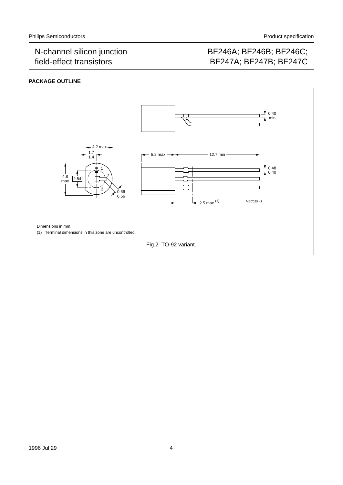# BF246A; BF246B; BF246C; BF247A; BF247B; BF247C

## **PACKAGE OUTLINE**